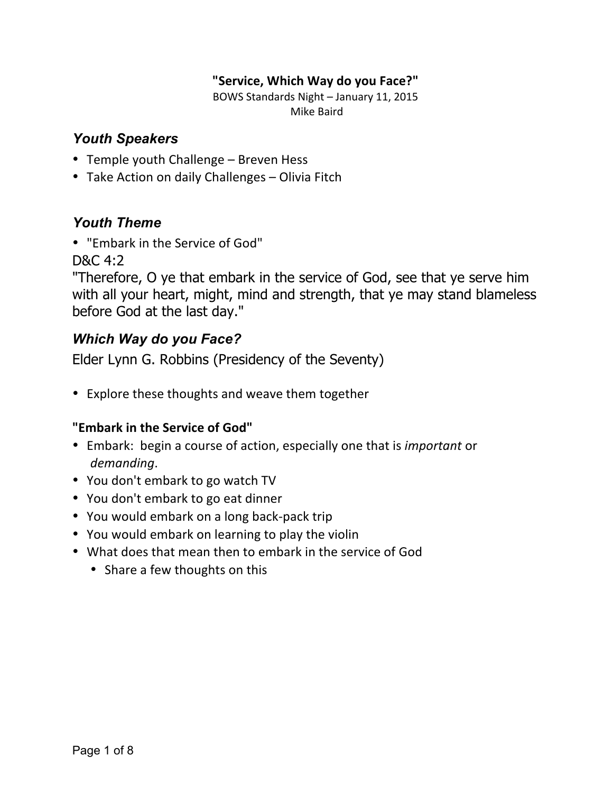#### **"Service, Which Way do you Face?"**

BOWS Standards Night - January 11, 2015 Mike Baird

## *Youth Speakers*

- Temple youth Challenge Breven Hess
- Take Action on daily Challenges Olivia Fitch

## *Youth Theme*

• "Embark in the Service of God"

D&C 4:2

"Therefore, O ye that embark in the service of God, see that ye serve him with all your heart, might, mind and strength, that ye may stand blameless before God at the last day."

## *Which Way do you Face?*

Elder Lynn G. Robbins (Presidency of the Seventy)

• Explore these thoughts and weave them together

### **"Embark in the Service of God"**

- Embark: begin a course of action, especially one that is *important* or *demanding*.
- You don't embark to go watch TV
- You don't embark to go eat dinner
- You would embark on a long back-pack trip
- You would embark on learning to play the violin
- What does that mean then to embark in the service of God
	- Share a few thoughts on this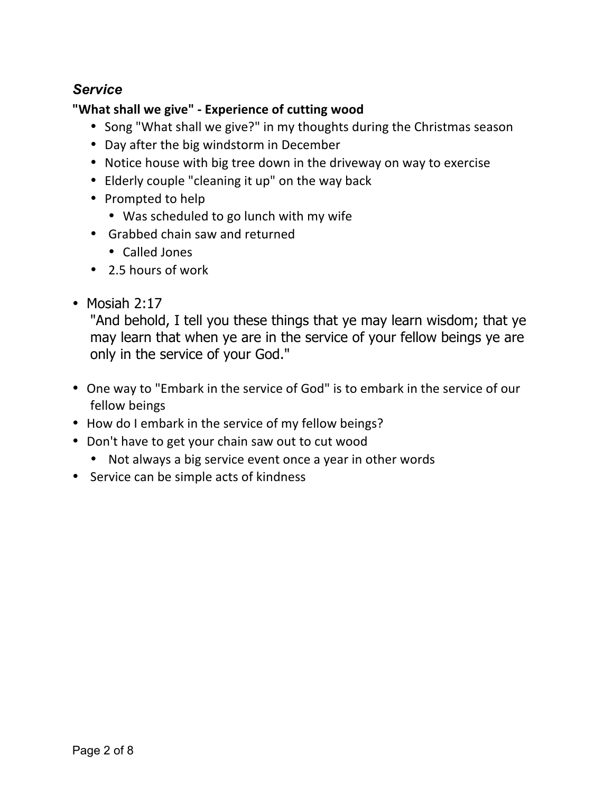## *Service*

## "What shall we give" - Experience of cutting wood

- Song "What shall we give?" in my thoughts during the Christmas season
- Day after the big windstorm in December
- Notice house with big tree down in the driveway on way to exercise
- Elderly couple "cleaning it up" on the way back
- Prompted to help
	- Was scheduled to go lunch with my wife
- Grabbed chain saw and returned
	- Called Jones
- 2.5 hours of work
- Mosiah 2:17

"And behold, I tell you these things that ye may learn wisdom; that ye may learn that when ye are in the service of your fellow beings ye are only in the service of your God."

- One way to "Embark in the service of God" is to embark in the service of our fellow beings
- How do I embark in the service of my fellow beings?
- Don't have to get your chain saw out to cut wood
	- Not always a big service event once a year in other words
- Service can be simple acts of kindness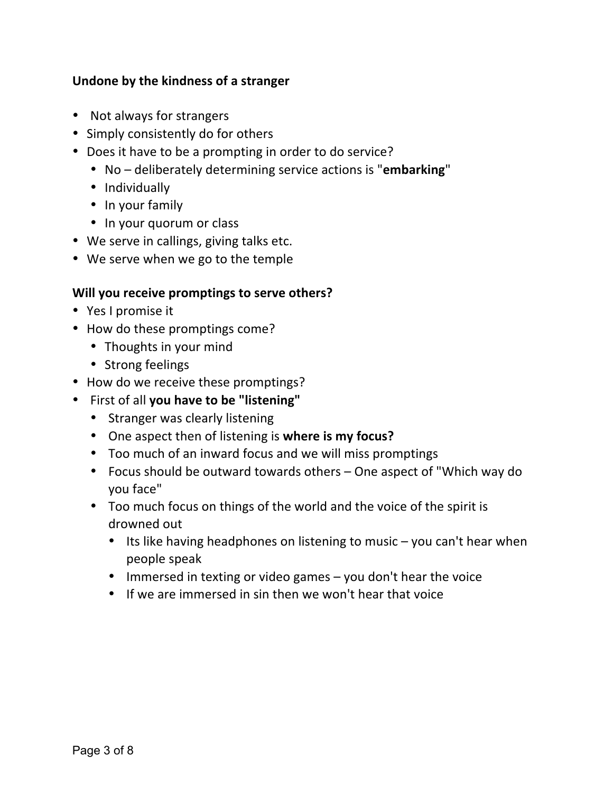#### **Undone by the kindness of a stranger**

- Not always for strangers
- Simply consistently do for others
- Does it have to be a prompting in order to do service?
	- No deliberately determining service actions is "**embarking**"
	- Individually
	- In your family
	- In your quorum or class
- We serve in callings, giving talks etc.
- We serve when we go to the temple

#### **Will you receive promptings to serve others?**

- Yes I promise it
- How do these promptings come?
	- Thoughts in your mind
	- Strong feelings
- How do we receive these promptings?
- First of all you have to be "listening"
	- Stranger was clearly listening
	- One aspect then of listening is where is my focus?
	- Too much of an inward focus and we will miss promptings
	- Focus should be outward towards others One aspect of "Which way do you face"
	- Too much focus on things of the world and the voice of the spirit is drowned out
		- Its like having headphones on listening to music  $-$  you can't hear when people speak
		- Immersed in texting or video games  $-$  you don't hear the voice
		- If we are immersed in sin then we won't hear that voice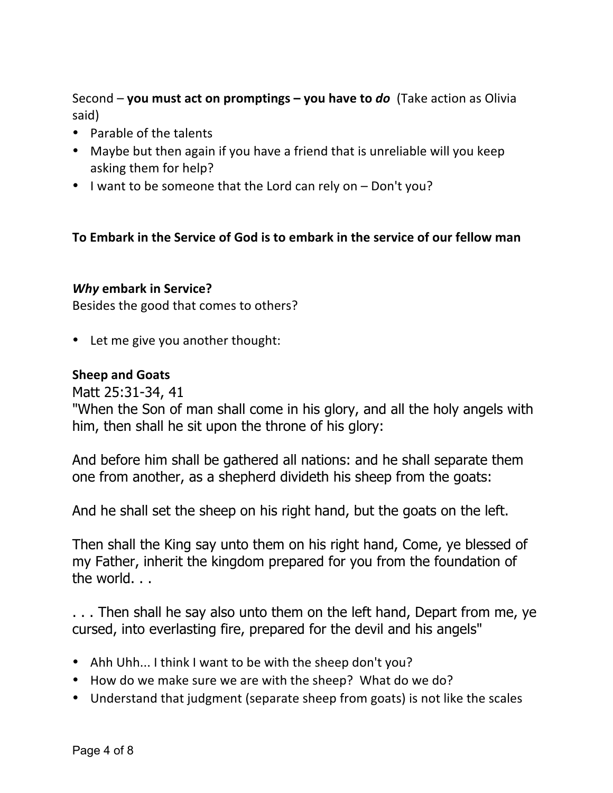Second – you must act on promptings – you have to *do* (Take action as Olivia said)

- $\bullet$  Parable of the talents
- Maybe but then again if you have a friend that is unreliable will you keep asking them for help?
- I want to be someone that the Lord can rely on  $-$  Don't you?

### **To Embark in the Service of God is to embark in the service of our fellow man**

#### **Why embark in Service?**

Besides the good that comes to others?

• Let me give you another thought:

### **Sheep and Goats**

Matt 25:31-34, 41

"When the Son of man shall come in his glory, and all the holy angels with him, then shall he sit upon the throne of his glory:

And before him shall be gathered all nations: and he shall separate them one from another, as a shepherd divideth his sheep from the goats:

And he shall set the sheep on his right hand, but the goats on the left.

Then shall the King say unto them on his right hand, Come, ye blessed of my Father, inherit the kingdom prepared for you from the foundation of the world. . .

. . . Then shall he say also unto them on the left hand, Depart from me, ye cursed, into everlasting fire, prepared for the devil and his angels"

- Ahh Uhh... I think I want to be with the sheep don't you?
- How do we make sure we are with the sheep? What do we do?
- Understand that judgment (separate sheep from goats) is not like the scales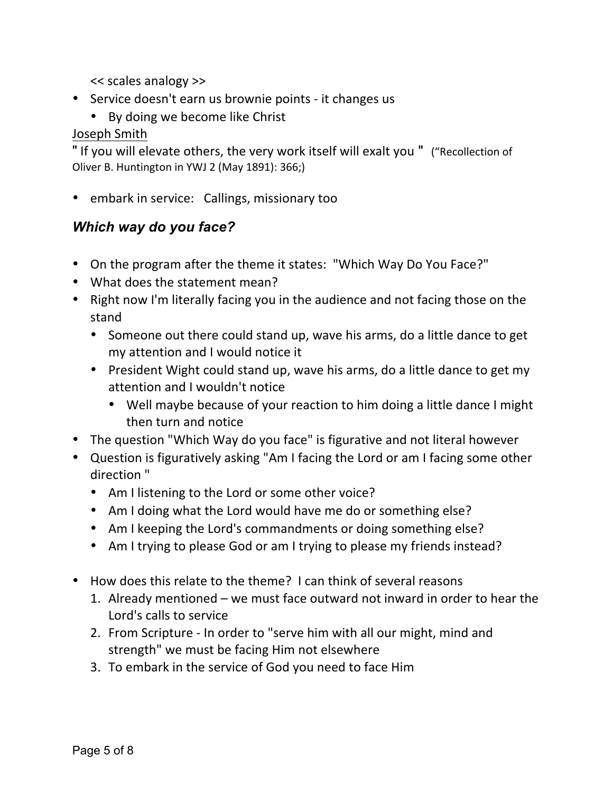<< scales analogy >>

- Service doesn't earn us brownie points it changes us
	- By doing we become like Christ

## Joseph Smith

" If you will elevate others, the very work itself will exalt you " ("Recollection of Oliver B. Huntington in YWJ 2 (May 1891): 366;)

• embark in service: Callings, missionary too

## *Which way do you face?*

- On the program after the theme it states: "Which Way Do You Face?"
- What does the statement mean?
- Right now I'm literally facing you in the audience and not facing those on the stand
	- Someone out there could stand up, wave his arms, do a little dance to get my attention and I would notice it
	- President Wight could stand up, wave his arms, do a little dance to get my attention and I wouldn't notice
		- Well maybe because of your reaction to him doing a little dance I might then turn and notice
- The question "Which Way do you face" is figurative and not literal however
- Question is figuratively asking "Am I facing the Lord or am I facing some other direction<sup>"</sup>
	- Am I listening to the Lord or some other voice?
	- Am I doing what the Lord would have me do or something else?
	- Am I keeping the Lord's commandments or doing something else?
	- Am I trying to please God or am I trying to please my friends instead?
- How does this relate to the theme? I can think of several reasons
	- 1. Already mentioned we must face outward not inward in order to hear the Lord's calls to service
	- 2. From Scripture In order to "serve him with all our might, mind and strength" we must be facing Him not elsewhere
	- 3. To embark in the service of God you need to face Him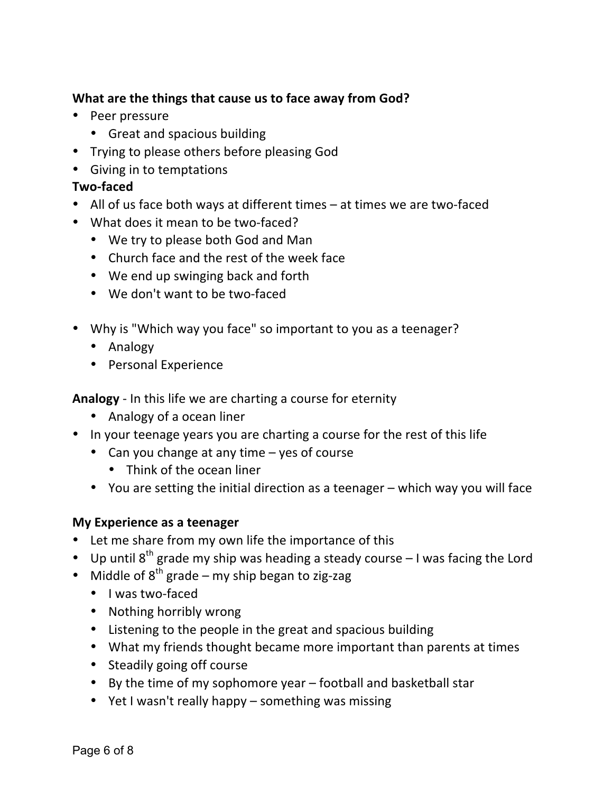## **What are the things that cause us to face away from God?**

- Peer pressure
	- Great and spacious building
- Trying to please others before pleasing God
- Giving in to temptations

### **Two-faced**

- All of us face both ways at different times at times we are two-faced
- What does it mean to be two-faced?
	- We try to please both God and Man
	- Church face and the rest of the week face
	- We end up swinging back and forth
	- We don't want to be two-faced
- Why is "Which way you face" so important to you as a teenager?
	- Analogy
	- Personal Experience

**Analogy** - In this life we are charting a course for eternity

- Analogy of a ocean liner
- In your teenage years you are charting a course for the rest of this life
	- Can you change at any time yes of course
		- Think of the ocean liner
	- You are setting the initial direction as a teenager  $-$  which way you will face

### **My Experience as a teenager**

- Let me share from my own life the importance of this
- Up until  $8^{th}$  grade my ship was heading a steady course  $-1$  was facing the Lord
- Middle of  $8^{th}$  grade my ship began to zig-zag
	- I was two-faced
	- Nothing horribly wrong
	- Listening to the people in the great and spacious building
	- What my friends thought became more important than parents at times
	- Steadily going off course
	- By the time of my sophomore year  $-$  football and basketball star
	- Yet I wasn't really happy something was missing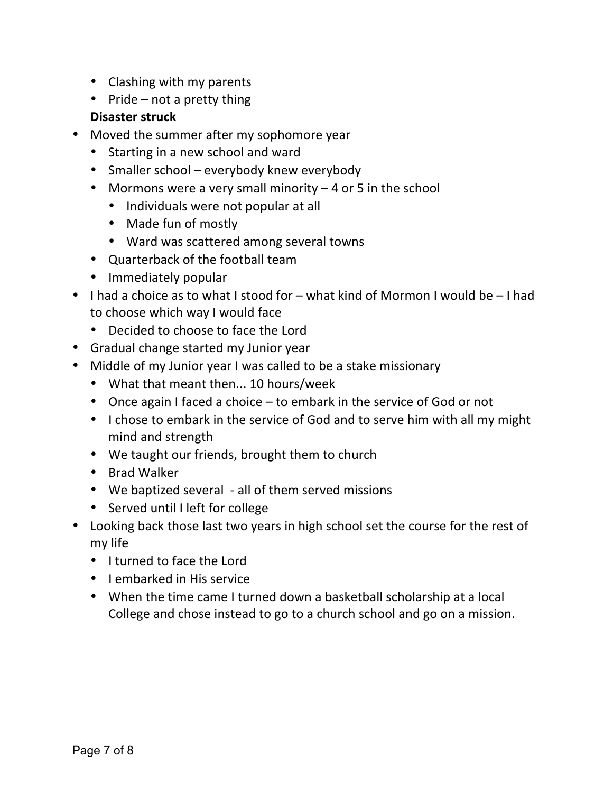- Clashing with my parents
- Pride  $-$  not a pretty thing

## **Disaster struck**

- Moved the summer after my sophomore year
	- Starting in a new school and ward
	- Smaller school everybody knew everybody
	- Mormons were a very small minority  $-4$  or 5 in the school
		- Individuals were not popular at all
		- Made fun of mostly
		- Ward was scattered among several towns
	- Quarterback of the football team
	- Immediately popular
- I had a choice as to what I stood for  $-$  what kind of Mormon I would be  $-1$  had to choose which way I would face
	- Decided to choose to face the Lord
- Gradual change started my Junior year
- Middle of my Junior year I was called to be a stake missionary
	- What that meant then... 10 hours/week
	- Once again I faced a choice  $-$  to embark in the service of God or not
	- I chose to embark in the service of God and to serve him with all my might mind and strength
	- We taught our friends, brought them to church
	- Brad Walker
	- We baptized several all of them served missions
	- Served until I left for college
- Looking back those last two years in high school set the course for the rest of my life
	- I turned to face the Lord
	- I embarked in His service
	- When the time came I turned down a basketball scholarship at a local College and chose instead to go to a church school and go on a mission.